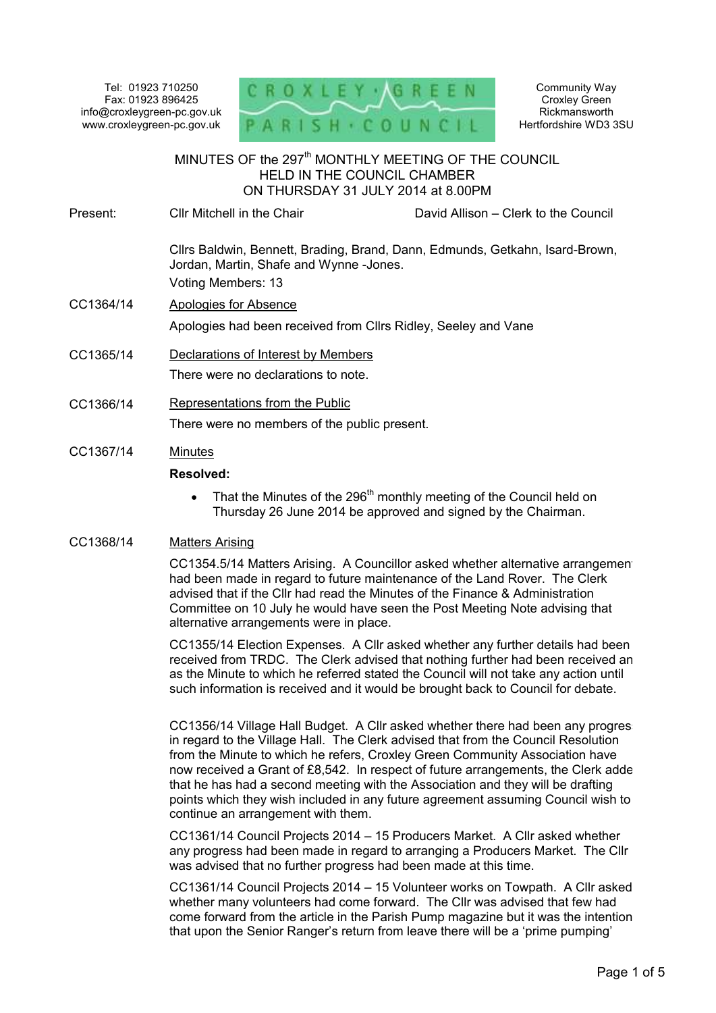Tel: 01923 710250 Fax: 01923 896425 info@croxleygreen-pc.gov.uk www.croxleygreen-pc.gov.uk



Community Way Croxley Green Rickmansworth Hertfordshire WD3 3SU

#### MINUTES OF the 297<sup>th</sup> MONTHLY MEETING OF THE COUNCIL HELD IN THE COUNCIL CHAMBER ON THURSDAY 31 JULY 2014 at 8.00PM Ĭ

Present: Cllr Mitchell in the Chair David Allison – Clerk to the Council Cllrs Baldwin, Bennett, Brading, Brand, Dann, Edmunds, Getkahn, Isard-Brown, Jordan, Martin, Shafe and Wynne -Jones.

Voting Members: 13

- CC1364/14 Apologies for Absence Apologies had been received from Cllrs Ridley, Seeley and Vane
- CC1365/14 Declarations of Interest by Members There were no declarations to note.
- CC1366/14 Representations from the Public

There were no members of the public present.

CC1367/14 Minutes

# **Resolved:**

• That the Minutes of the 296<sup>th</sup> monthly meeting of the Council held on Thursday 26 June 2014 be approved and signed by the Chairman.

## CC1368/14 Matters Arising

CC1354.5/14 Matters Arising. A Councillor asked whether alternative arrangements had been made in regard to future maintenance of the Land Rover. The Clerk advised that if the Cllr had read the Minutes of the Finance & Administration Committee on 10 July he would have seen the Post Meeting Note advising that alternative arrangements were in place.

CC1355/14 Election Expenses. A Cllr asked whether any further details had been received from TRDC. The Clerk advised that nothing further had been received an as the Minute to which he referred stated the Council will not take any action until such information is received and it would be brought back to Council for debate.

CC1356/14 Village Hall Budget. A Cllr asked whether there had been any progres in regard to the Village Hall. The Clerk advised that from the Council Resolution from the Minute to which he refers, Croxley Green Community Association have now received a Grant of  $£8,542$ . In respect of future arrangements, the Clerk adde that he has had a second meeting with the Association and they will be drafting points which they wish included in any future agreement assuming Council wish to continue an arrangement with them.

CC1361/14 Council Projects 2014 – 15 Producers Market. A Cllr asked whether any progress had been made in regard to arranging a Producers Market. The Cllr was advised that no further progress had been made at this time.

CC1361/14 Council Projects 2014 – 15 Volunteer works on Towpath. A Cllr asked whether many volunteers had come forward. The Cllr was advised that few had come forward from the article in the Parish Pump magazine but it was the intention that upon the Senior Ranger's return from leave there will be a 'prime pumping'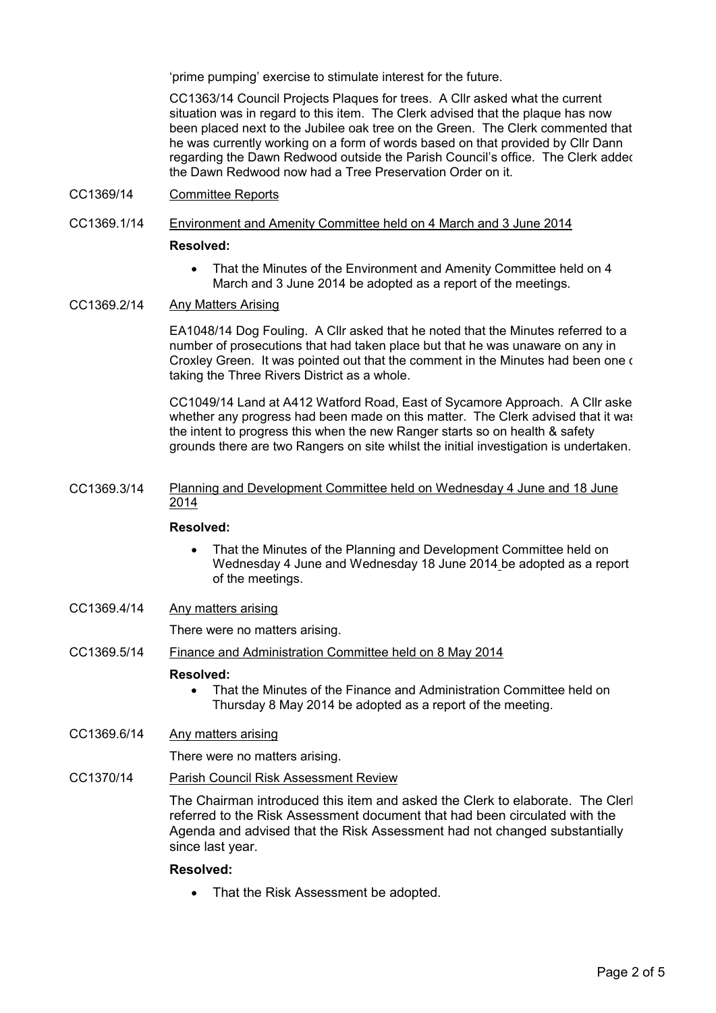'prime pumping' exercise to stimulate interest for the future.

CC1363/14 Council Projects Plaques for trees. A Cllr asked what the current situation was in regard to this item. The Clerk advised that the plaque has now been placed next to the Jubilee oak tree on the Green. The Clerk commented that he was currently working on a form of words based on that provided by Cllr Dann regarding the Dawn Redwood outside the Parish Council's office. The Clerk added the Dawn Redwood now had a Tree Preservation Order on it.

CC1369/14 Committee Reports

# CC1369.1/14 Environment and Amenity Committee held on 4 March and 3 June 2014 **Resolved:**

• That the Minutes of the Environment and Amenity Committee held on 4 March and 3 June 2014 be adopted as a report of the meetings.

#### CC1369.2/14 Any Matters Arising

EA1048/14 Dog Fouling. A Cllr asked that he noted that the Minutes referred to a number of prosecutions that had taken place but that he was unaware on any in Croxley Green. It was pointed out that the comment in the Minutes had been one of taking the Three Rivers District as a whole.

CC1049/14 Land at A412 Watford Road, East of Sycamore Approach. A Cllr aske whether any progress had been made on this matter. The Clerk advised that it was the intent to progress this when the new Ranger starts so on health & safety grounds there are two Rangers on site whilst the initial investigation is undertaken.

CC1369.3/14 Planning and Development Committee held on Wednesday 4 June and 18 June 2014

#### **Resolved:**

- That the Minutes of the Planning and Development Committee held on Wednesday 4 June and Wednesday 18 June 2014 be adopted as a report of the meetings.
- CC1369.4/14 Any matters arising

There were no matters arising.

CC1369.5/14 Finance and Administration Committee held on 8 May 2014

#### **Resolved:**

• That the Minutes of the Finance and Administration Committee held on Thursday 8 May 2014 be adopted as a report of the meeting.

### CC1369.6/14 Any matters arising

There were no matters arising.

## CC1370/14 Parish Council Risk Assessment Review

The Chairman introduced this item and asked the Clerk to elaborate. The Cler referred to the Risk Assessment document that had been circulated with the Agenda and advised that the Risk Assessment had not changed substantially since last year.

## **Resolved:**

• That the Risk Assessment be adopted.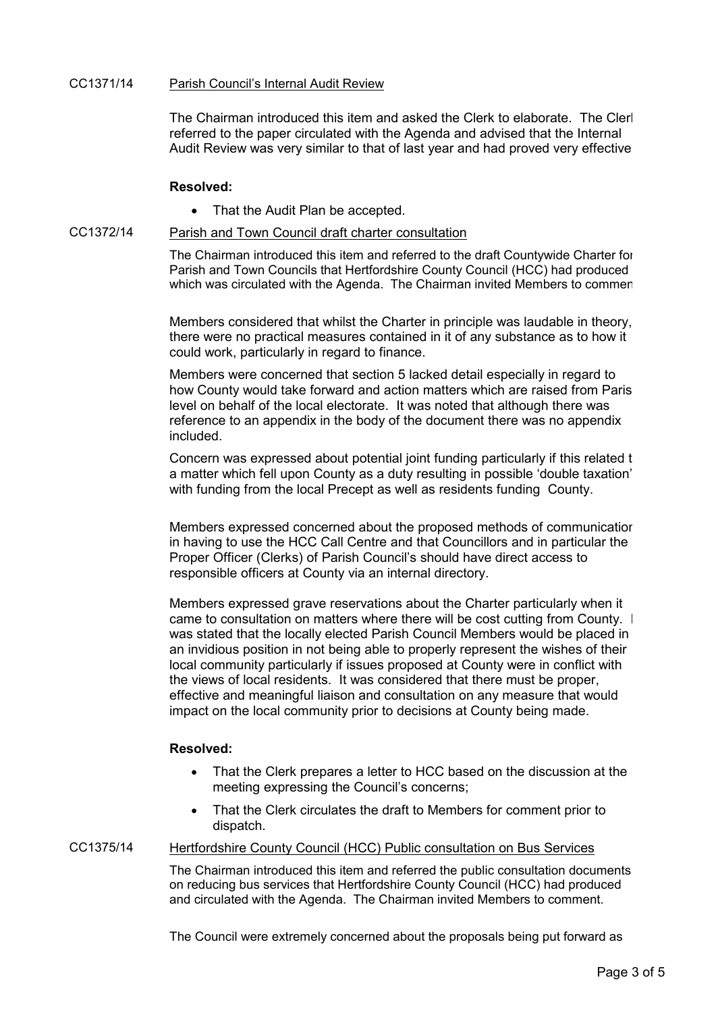#### CC1371/14 Parish Council's Internal Audit Review

The Chairman introduced this item and asked the Clerk to elaborate. The Cler referred to the paper circulated with the Agenda and advised that the Internal Audit Review was very similar to that of last year and had proved very effective.

#### **Resolved:**

• That the Audit Plan be accepted.

#### CC1372/14 Parish and Town Council draft charter consultation

The Chairman introduced this item and referred to the draft Countywide Charter for Parish and Town Councils that Hertfordshire County Council (HCC) had produced which was circulated with the Agenda. The Chairman invited Members to commer.

Members considered that whilst the Charter in principle was laudable in theory, there were no practical measures contained in it of any substance as to how it could work, particularly in regard to finance.

Members were concerned that section 5 lacked detail especially in regard to how County would take forward and action matters which are raised from Paris level on behalf of the local electorate. It was noted that although there was reference to an appendix in the body of the document there was no appendix included.

Concern was expressed about potential joint funding particularly if this related to a matter which fell upon County as a duty resulting in possible 'double taxation' with funding from the local Precept as well as residents funding County.

Members expressed concerned about the proposed methods of communication in having to use the HCC Call Centre and that Councillors and in particular the Proper Officer (Clerks) of Parish Council's should have direct access to responsible officers at County via an internal directory.

Members expressed grave reservations about the Charter particularly when it came to consultation on matters where there will be cost cutting from County. It was stated that the locally elected Parish Council Members would be placed in an invidious position in not being able to properly represent the wishes of their local community particularly if issues proposed at County were in conflict with the views of local residents. It was considered that there must be proper, effective and meaningful liaison and consultation on any measure that would impact on the local community prior to decisions at County being made.

### **Resolved:**

- That the Clerk prepares a letter to HCC based on the discussion at the meeting expressing the Council's concerns;
- That the Clerk circulates the draft to Members for comment prior to dispatch.

#### CC1375/14 Hertfordshire County Council (HCC) Public consultation on Bus Services

The Chairman introduced this item and referred the public consultation documents on reducing bus services that Hertfordshire County Council (HCC) had produced and circulated with the Agenda. The Chairman invited Members to comment.

The Council were extremely concerned about the proposals being put forward as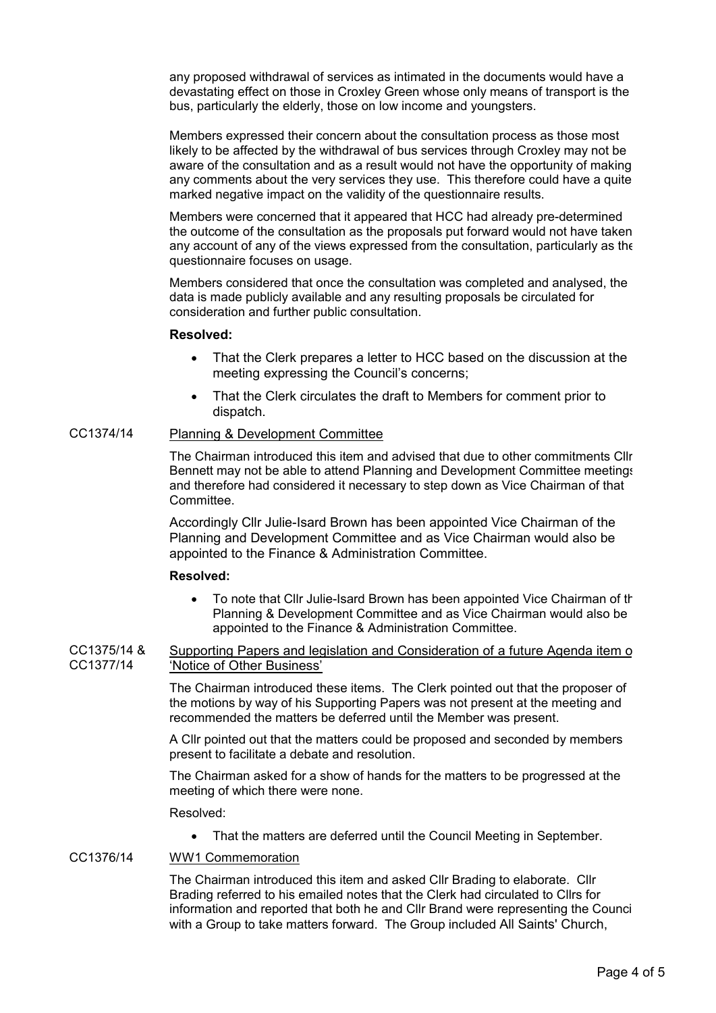any proposed withdrawal of services as intimated in the documents would have a devastating effect on those in Croxley Green whose only means of transport is the bus, particularly the elderly, those on low income and youngsters.

Members expressed their concern about the consultation process as those most likely to be affected by the withdrawal of bus services through Croxley may not be aware of the consultation and as a result would not have the opportunity of making any comments about the very services they use. This therefore could have a quite marked negative impact on the validity of the questionnaire results.

Members were concerned that it appeared that HCC had already pre-determined the outcome of the consultation as the proposals put forward would not have taken any account of any of the views expressed from the consultation, particularly as the questionnaire focuses on usage.

Members considered that once the consultation was completed and analysed, the data is made publicly available and any resulting proposals be circulated for consideration and further public consultation.

### **Resolved:**

- That the Clerk prepares a letter to HCC based on the discussion at the meeting expressing the Council's concerns;
- That the Clerk circulates the draft to Members for comment prior to dispatch.

## CC1374/14 Planning & Development Committee

The Chairman introduced this item and advised that due to other commitments Cllr Bennett may not be able to attend Planning and Development Committee meetings and therefore had considered it necessary to step down as Vice Chairman of that Committee.

Accordingly Cllr Julie-Isard Brown has been appointed Vice Chairman of the Planning and Development Committee and as Vice Chairman would also be appointed to the Finance & Administration Committee.

#### **Resolved:**

- To note that Cllr Julie-Isard Brown has been appointed Vice Chairman of the Planning & Development Committee and as Vice Chairman would also be appointed to the Finance & Administration Committee.
- CC1375/14 & CC1377/14 Supporting Papers and legislation and Consideration of a future Agenda item of 'Notice of Other Business'

The Chairman introduced these items. The Clerk pointed out that the proposer of the motions by way of his Supporting Papers was not present at the meeting and recommended the matters be deferred until the Member was present.

A Cllr pointed out that the matters could be proposed and seconded by members present to facilitate a debate and resolution.

The Chairman asked for a show of hands for the matters to be progressed at the meeting of which there were none.

Resolved:

• That the matters are deferred until the Council Meeting in September.

### CC1376/14 WW1 Commemoration

The Chairman introduced this item and asked Cllr Brading to elaborate. Cllr Brading referred to his emailed notes that the Clerk had circulated to Cllrs for information and reported that both he and Cllr Brand were representing the Council with a Group to take matters forward. The Group included All Saints' Church,